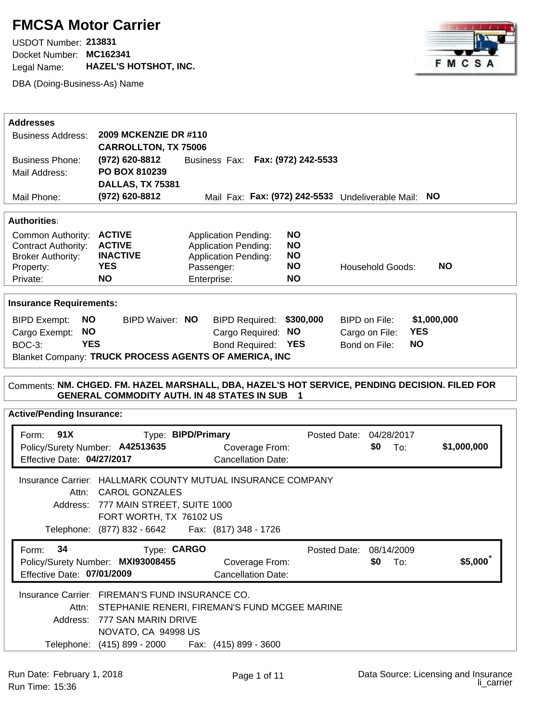## **FMCSA Motor Carrier**

Docket Number: **MC162341** USDOT Number: **213831**  Legal Name: **HAZEL'S HOTSHOT, INC.**

DBA (Doing-Business-As) Name



| <b>Addresses</b>                                                                               |                                                                                      |                                   |                                                      |                         |                              |             |
|------------------------------------------------------------------------------------------------|--------------------------------------------------------------------------------------|-----------------------------------|------------------------------------------------------|-------------------------|------------------------------|-------------|
| 2009 MCKENZIE DR #110<br><b>Business Address:</b>                                              |                                                                                      |                                   |                                                      |                         |                              |             |
|                                                                                                | <b>CARROLLTON, TX 75006</b>                                                          |                                   |                                                      |                         |                              |             |
| <b>Business Phone:</b>                                                                         | (972) 620-8812                                                                       | Business Fax: Fax: (972) 242-5533 |                                                      |                         |                              |             |
| Mail Address:                                                                                  | PO BOX 810239                                                                        |                                   |                                                      |                         |                              |             |
|                                                                                                | DALLAS, TX 75381                                                                     |                                   |                                                      |                         |                              |             |
| Mail Phone:                                                                                    | (972) 620-8812                                                                       |                                   | Mail Fax: Fax: (972) 242-5533 Undeliverable Mail: NO |                         |                              |             |
| <b>Authorities:</b>                                                                            |                                                                                      |                                   |                                                      |                         |                              |             |
| Common Authority: ACTIVE                                                                       |                                                                                      | <b>Application Pending:</b>       | <b>NO</b>                                            |                         |                              |             |
| <b>Contract Authority:</b>                                                                     | <b>ACTIVE</b>                                                                        | <b>Application Pending:</b>       | <b>NO</b>                                            |                         |                              |             |
| <b>Broker Authority:</b>                                                                       | <b>INACTIVE</b>                                                                      | <b>Application Pending:</b>       | <b>NO</b>                                            |                         |                              |             |
| Property:                                                                                      | <b>YES</b>                                                                           | Passenger:                        | <b>NO</b>                                            |                         | <b>Household Goods:</b>      | <b>NO</b>   |
| Private:                                                                                       | <b>NO</b>                                                                            | Enterprise:                       | <b>NO</b>                                            |                         |                              |             |
| <b>Insurance Requirements:</b>                                                                 |                                                                                      |                                   |                                                      |                         |                              |             |
| NO.<br><b>BIPD Exempt:</b>                                                                     | BIPD Waiver: NO                                                                      |                                   | \$300,000<br><b>BIPD Required:</b>                   |                         | BIPD on File:                | \$1,000,000 |
| <b>NO</b><br>Cargo Exempt:                                                                     |                                                                                      |                                   | Cargo Required: NO                                   |                         | <b>YES</b><br>Cargo on File: |             |
| <b>YES</b><br><b>BOC-3:</b>                                                                    |                                                                                      |                                   | Bond Required: YES                                   |                         | <b>NO</b><br>Bond on File:   |             |
|                                                                                                | Blanket Company: TRUCK PROCESS AGENTS OF AMERICA, INC                                |                                   |                                                      |                         |                              |             |
|                                                                                                |                                                                                      |                                   |                                                      |                         |                              |             |
| Comments: NM. CHGED. FM. HAZEL MARSHALL, DBA, HAZEL'S HOT SERVICE, PENDING DECISION. FILED FOR | <b>GENERAL COMMODITY AUTH. IN 48 STATES IN SUB</b>                                   |                                   |                                                      |                         |                              |             |
| <b>Active/Pending Insurance:</b>                                                               |                                                                                      |                                   |                                                      |                         |                              |             |
| 91X<br>Form:                                                                                   |                                                                                      | Type: BIPD/Primary                |                                                      | Posted Date: 04/28/2017 |                              |             |
| Policy/Surety Number: A42513635                                                                |                                                                                      |                                   | Coverage From:                                       |                         | \$0<br>To:                   | \$1,000,000 |
| Effective Date: 04/27/2017                                                                     |                                                                                      |                                   | <b>Cancellation Date:</b>                            |                         |                              |             |
| Attn:                                                                                          | Insurance Carrier: HALLMARK COUNTY MUTUAL INSURANCE COMPANY<br><b>CAROL GONZALES</b> |                                   |                                                      |                         |                              |             |
|                                                                                                | Address: 777 MAIN STREET, SUITE 1000                                                 |                                   |                                                      |                         |                              |             |
|                                                                                                | FORT WORTH, TX 76102 US                                                              |                                   |                                                      |                         |                              |             |
|                                                                                                | Telephone: (877) 832 - 6642   Fax: (817) 348 - 1726                                  |                                   |                                                      |                         |                              |             |
|                                                                                                |                                                                                      |                                   |                                                      | Posted Date: 08/14/2009 |                              |             |
| 34<br>Form:<br>Effective Date: 07/01/2009                                                      | Type: CARGO<br>Policy/Surety Number: MXI93008455                                     |                                   | Coverage From:<br><b>Cancellation Date:</b>          |                         | \$0<br>To:                   | \$5,000     |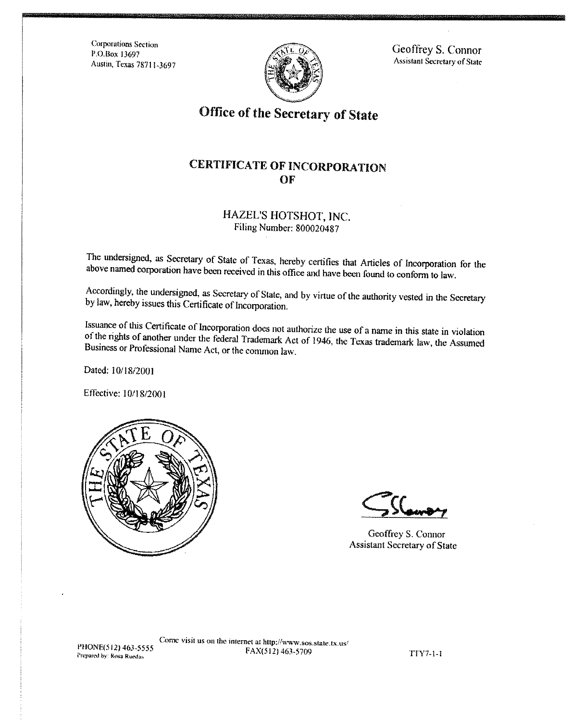**Corporations Section** P.O.Box 13697 Austin, Texas 78711-3697



Geoffrey S. Connor **Assistant Secretary of State** 

# Office of the Secretary of State

## **CERTIFICATE OF INCORPORATION** OF

#### HAZEL'S HOTSHOT, INC. Filing Number: 800020487

The undersigned, as Secretary of State of Texas, hereby certifies that Articles of Incorporation for the above named corporation have been received in this office and have been found to conform to law.

Accordingly, the undersigned, as Secretary of State, and by virtue of the authority vested in the Secretary by law, hereby issues this Certificate of Incorporation.

Issuance of this Certificate of Incorporation does not authorize the use of a name in this state in violation of the rights of another under the federal Trademark Act of 1946, the Texas trademark law, the Assumed Business or Professional Name Act, or the common law.

Dated: 10/18/2001

Effective: 10/18/2001



Geoffrey S. Connor **Assistant Secretary of State** 

PHONE(512) 463-5555 Prepared by: Rosa Ruedas

Come visit us on the internet at http://www.sos.state.tx.us/ FAX(512) 463-5709

**TTY7-1-1**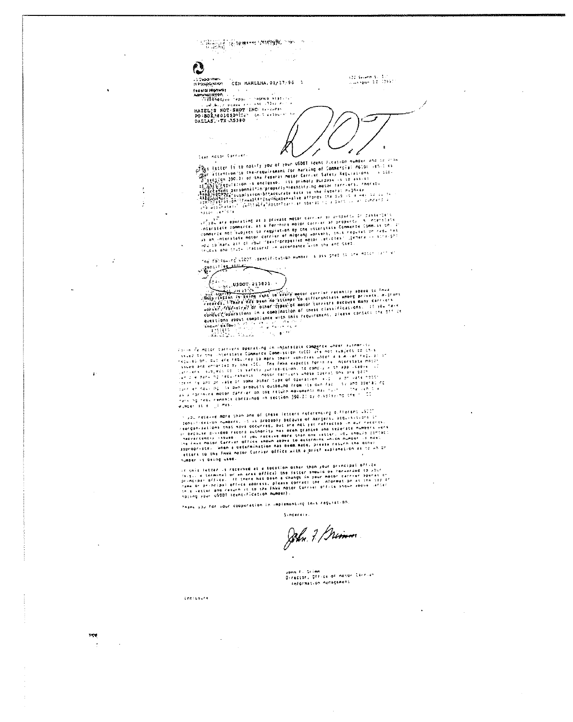122 Были 1, 17<br>|Баллан 17, 1197 -1 Deganines<br>Sersapangkapan CEN HARLLIEA, 01/17/96 1 

 $\mathbf{z}$ 

**Service** 

Cear Rolpr Carriers

 $\frac{1}{N}\sum_{\substack{\mathbf{p}\in\mathcal{M}(\mathcal{M}_1)\\ \mathbf{p}\in\mathcal{M}(\mathcal{M}_2)}}\sum_{\substack{\mathbf{p}\in\mathcal{M}_1\\ \mathbf{p}\in\mathcal{M}_2}}\sum_{\substack{\mathbf{p}\in\mathcal{M}_2\\ \mathbf{p}\in\mathcal{M}_1}}\sum_{\substack{\mathbf{p}\in\mathcal{M}_2\\ \mathbf{p}\in\mathcal{M}_1}}\sum_{\substack{\mathbf{p}\in\mathcal{M}_2\\ \mathbf{p}\in\mathcal{M}_2}}\sum_{\substack{\mathbf{p}\in\mathcal{M}_1\\$ 

 $\mathcal{L}$ 

of the faster is to notify you of your USDOT seent ficetion number and to alle 

 $\ddot{\phantom{1}}$ 

 $\cdot$ 

 $\mathbb{R}^2$ 

The following CIOS vaentification Humber is assigned to the hoter turn ar

كالمشفوع وأرامهم  $\int_{\Omega}$  $\frac{1}{25}$ , uspot 23,3833.

Form  $\tilde{f}$  deter carefore spending in intersects compared when suindriffs<br>tigs of the distribute communication (CC) at and subject is (3).)<br>the six of all determines communication (CC) at a subject is (3).)<br>tigs of an

. The receive more shan and of these letters referencing quiterers (STI)<br>agriculturations changers, it is probably because of mergers, accusivities in<br>representations chairs accorded because the not per reference in our r Number is being used.

if chis letter is received at a tocation other than your principal office<br>is quite a second or an area office) the istter should be formerated to your<br>principal diffice, if there has been a change in your motor carrier poe

Thank you for your cooperation in implementing this regulation

Sincereix.

John 7 Gremm

vonn F. Grimm<br>Director, Office of notor Carries Information nanagement

 $\bullet$ 

inclusive

 $1.74$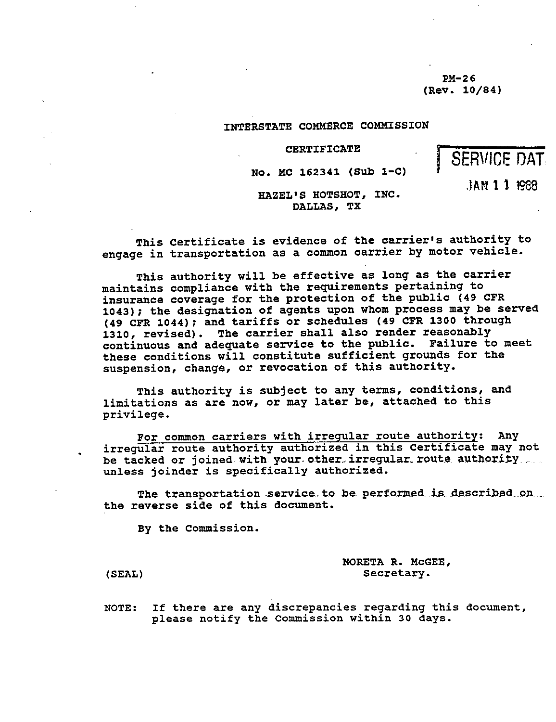**PM-26 (Rev. 10/84)**

#### **INTERSTATE COMMERCE COMMISSION**

**CERTIFICATE**

#### **No. MC 162341 (Sub 1-C)**

J **AN 1 1 1988**

SERVICE DAT

**HAZEL'S HOTSHOT, INC. DALLAS, TX**

**This Certificate is evidence of the carrier's authority to engage in transportation as a common carrier by motor vehicle.**

**This authority will be effective as long as the carrier maintains compliance with the requirements pertaining to insurance coverage for the protection of the public (49 CPR 1043** ); **the designation of agents upon whom process may be served (49 CFR 1044** ); **and tariffs or schedules** ( **49 CFR 1300 through 1310, revised**). **The carrier shall also render reasonably continuous and adequate service to the public. Failure to meet these conditions will constitute sufficient grounds for the suspension** , **change, or revocation of this authority.**

**This authority is subject to any terms** , **conditions, and** limitations as are now, or may later be, attached to this **privilege.**

**For common carriers with irregular route authority: Any irregular route authority authorized in this Certificate may not** be tacked or joined with your other irregular route authority **unless joinder is specifically authorized.**

**The transportation service to be performed is described on, the reverse side of this document.**

**By the Commission.**

**NORETA R. McGEE,** (SEAL) Secretary.

**NOTE** : **If there are any discrepancies regarding this document, please notify the Commission within 30 days.**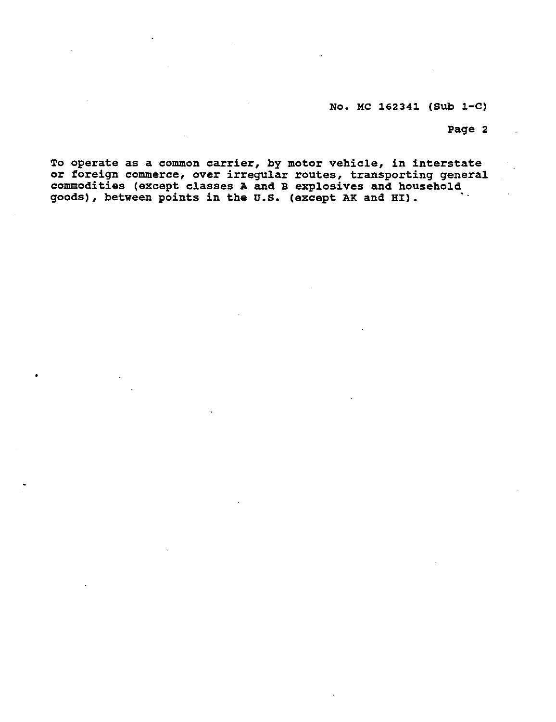### **No. MC 162341** ( **Sub 1-C)**

**Page 2**

**To operate as a common carrier, by motor vehicle** , **in interstate or foreign commerce** , **over irregular routes, transporting general commodities** ( **except classes A and B explosives and household goods** ), **between points in the U.S.** ( **except AK and HI).**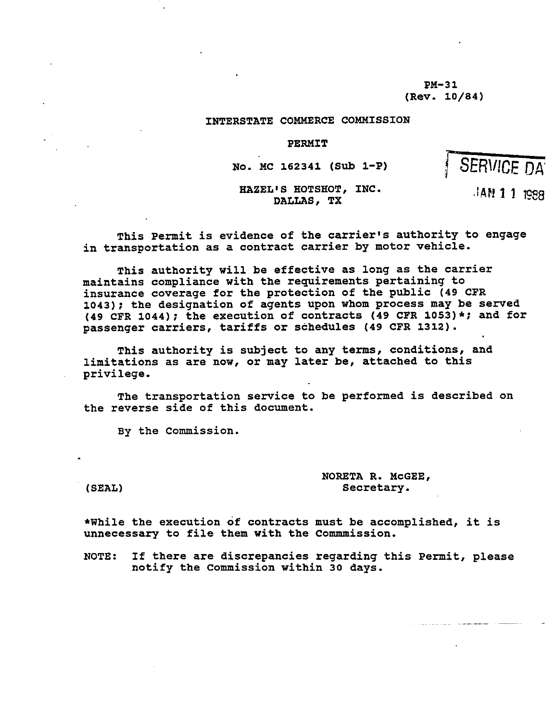**PM-31 (Rev. 10/84)**

#### **INTERSTATE COMMERCE COMMISSION**

#### **PERMIT**

**No. MC 162341** ( **Sub 1-P)**

SERVICE DA

**^.AN 11 1988**

HAZEL'S HOTSHOT, INC. **DALLAS, TX**

**This Permit is evidence of the carrier's authority to engage in transportation as a contract carrier by motor vehicle.**

**This authority will be effective as long as the carrier maintains compliance with the requirements pertaining to insurance coverage for the protection of the public (49 CPR 1043** ); **the designation of agents upon whom process may be served (49 CFR 1044** ); **the execution of contracts** ( **49 CPR 1053)\*; and for passenger carriers** , **tariffs or schedules** ( **49 CPR 1312).**

**This authority is subject to any terms** , **conditions, and** limitations as are now, or may later be, attached to this **privilege.**

**The transportation service to be performed is described on the reverse side of this document.**

**By the Commission.**

**NORETA R. McGEE,** ( **SEAL** ) **Secretary.**

**\*While the execution of contracts must be accomplished, it is unnecessary to file them with the Commmission.**

**NOTE: If there are discrepancies regarding this Permit** , **please notify the Commission within 30 days.**